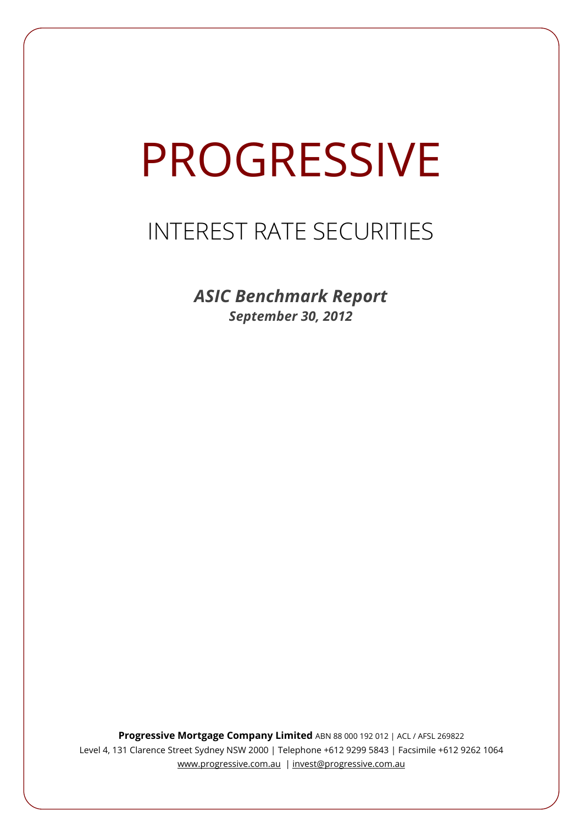# **PROGRESSIVE**

## INTEREST RATE SECURITIES

*ASIC Benchmark Report September 30, 2012*

**Progressive Mortgage Company Limited** ABN 88 000 192 012 | ACL / AFSL 269822 Level 4, 131 Clarence Street Sydney NSW 2000 | Telephone +612 9299 5843 | Facsimile +612 9262 1064 www.progressive.com.au | invest@progressive.com.au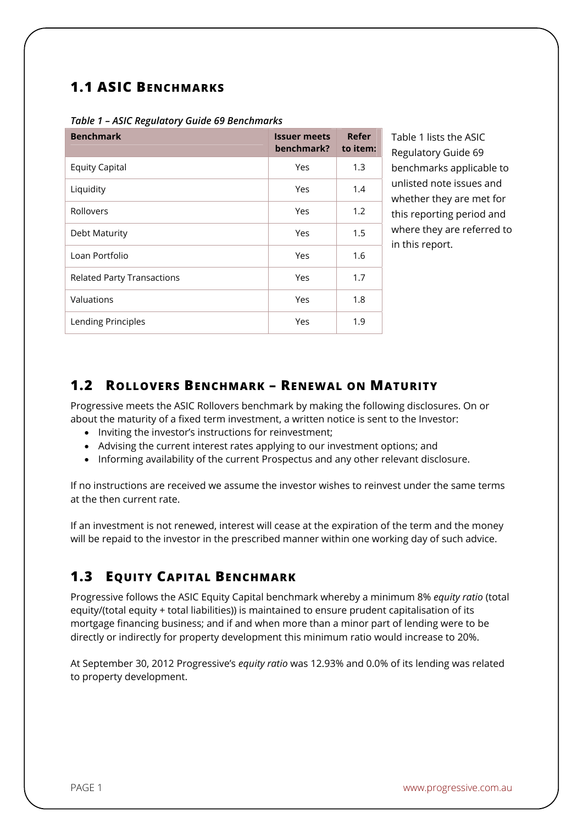## **1.1 ASIC BENCHMARKS**

| <b>Benchmark</b>                  | <b>Issuer meets</b><br>benchmark? | Refer<br>to item: |
|-----------------------------------|-----------------------------------|-------------------|
| <b>Equity Capital</b>             | Yes                               | 1.3               |
| Liquidity                         | Yes                               | 1.4               |
| Rollovers                         | Yes                               | 1.2               |
| Debt Maturity                     | Yes                               | 1.5               |
| Loan Portfolio                    | Yes                               | 1.6               |
| <b>Related Party Transactions</b> | Yes                               | 1.7               |
| Valuations                        | Yes                               | 1.8               |
| Lending Principles                | Yes                               | 1.9               |

*Table 1 – ASIC Regulatory Guide 69 Benchmarks* 

Table 1 lists the ASIC Regulatory Guide 69 benchmarks applicable to unlisted note issues and whether they are met for this reporting period and where they are referred to in this report.

## **1.2 ROLLOVERS BENCHMARK – RENEWAL ON MATURITY**

Progressive meets the ASIC Rollovers benchmark by making the following disclosures. On or about the maturity of a fixed term investment, a written notice is sent to the Investor:

- Inviting the investor's instructions for reinvestment;
- Advising the current interest rates applying to our investment options; and
- Informing availability of the current Prospectus and any other relevant disclosure.

If no instructions are received we assume the investor wishes to reinvest under the same terms at the then current rate.

If an investment is not renewed, interest will cease at the expiration of the term and the money will be repaid to the investor in the prescribed manner within one working day of such advice.

## **1.3 EQUITY CAPITAL BENCHMARK**

Progressive follows the ASIC Equity Capital benchmark whereby a minimum 8% *equity ratio* (total equity/(total equity + total liabilities)) is maintained to ensure prudent capitalisation of its mortgage financing business; and if and when more than a minor part of lending were to be directly or indirectly for property development this minimum ratio would increase to 20%.

At September 30, 2012 Progressive's *equity ratio* was 12.93% and 0.0% of its lending was related to property development.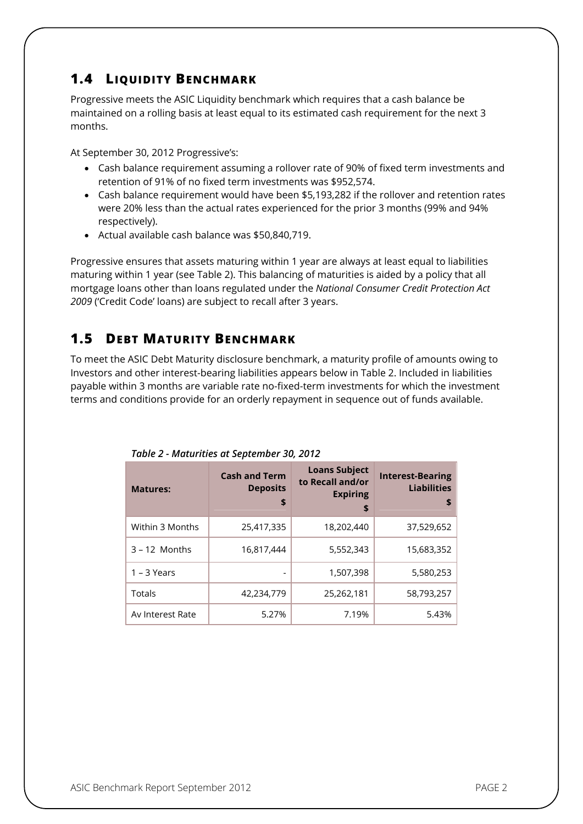## **1.4 LIQUIDITY BENCHMARK**

Progressive meets the ASIC Liquidity benchmark which requires that a cash balance be maintained on a rolling basis at least equal to its estimated cash requirement for the next 3 months.

At September 30, 2012 Progressive's:

- Cash balance requirement assuming a rollover rate of 90% of fixed term investments and retention of 91% of no fixed term investments was \$952,574.
- Cash balance requirement would have been \$5,193,282 if the rollover and retention rates were 20% less than the actual rates experienced for the prior 3 months (99% and 94% respectively).
- Actual available cash balance was \$50,840,719.

Progressive ensures that assets maturing within 1 year are always at least equal to liabilities maturing within 1 year (see Table 2). This balancing of maturities is aided by a policy that all mortgage loans other than loans regulated under the *National Consumer Credit Protection Act 2009* ('Credit Code' loans) are subject to recall after 3 years.

## **1.5 DEBT MATURITY BENCHMARK**

To meet the ASIC Debt Maturity disclosure benchmark, a maturity profile of amounts owing to Investors and other interest-bearing liabilities appears below in Table 2. Included in liabilities payable within 3 months are variable rate no-fixed-term investments for which the investment terms and conditions provide for an orderly repayment in sequence out of funds available.

| <b>Matures:</b>  | <b>Cash and Term</b><br><b>Deposits</b><br>\$ | <b>Loans Subject</b><br>to Recall and/or<br><b>Expiring</b><br>\$ | <b>Interest-Bearing</b><br><b>Liabilities</b><br>\$ |
|------------------|-----------------------------------------------|-------------------------------------------------------------------|-----------------------------------------------------|
| Within 3 Months  | 25,417,335                                    | 18,202,440                                                        | 37,529,652                                          |
| $3 - 12$ Months  | 16,817,444                                    | 5,552,343                                                         | 15,683,352                                          |
| $1 - 3$ Years    |                                               | 1,507,398                                                         | 5,580,253                                           |
| Totals           | 42,234,779                                    | 25,262,181                                                        | 58,793,257                                          |
| Av Interest Rate | 5.27%                                         | 7.19%                                                             | 5.43%                                               |

*Table 2 - Maturities at September 30, 2012*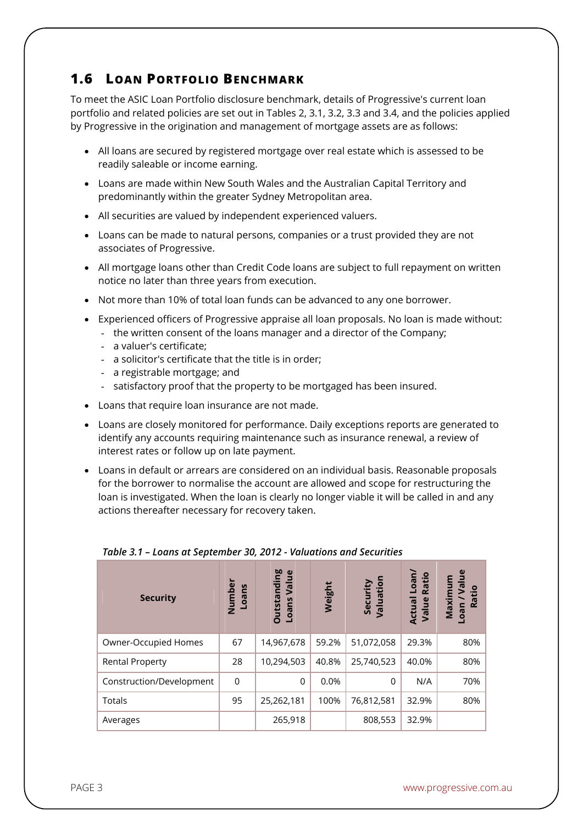## **1.6 LOAN PORTFOLIO BENCHMARK**

To meet the ASIC Loan Portfolio disclosure benchmark, details of Progressive's current loan portfolio and related policies are set out in Tables 2, 3.1, 3.2, 3.3 and 3.4, and the policies applied by Progressive in the origination and management of mortgage assets are as follows:

- All loans are secured by registered mortgage over real estate which is assessed to be readily saleable or income earning.
- Loans are made within New South Wales and the Australian Capital Territory and predominantly within the greater Sydney Metropolitan area.
- All securities are valued by independent experienced valuers.
- Loans can be made to natural persons, companies or a trust provided they are not associates of Progressive.
- All mortgage loans other than Credit Code loans are subject to full repayment on written notice no later than three years from execution.
- Not more than 10% of total loan funds can be advanced to any one borrower.
- Experienced officers of Progressive appraise all loan proposals. No loan is made without:
	- the written consent of the loans manager and a director of the Company;
	- a valuer's certificate;
	- a solicitor's certificate that the title is in order;
	- a registrable mortgage; and
	- satisfactory proof that the property to be mortgaged has been insured.
- Loans that require loan insurance are not made.
- Loans are closely monitored for performance. Daily exceptions reports are generated to identify any accounts requiring maintenance such as insurance renewal, a review of interest rates or follow up on late payment.
- Loans in default or arrears are considered on an individual basis. Reasonable proposals for the borrower to normalise the account are allowed and scope for restructuring the loan is investigated. When the loan is clearly no longer viable it will be called in and any actions thereafter necessary for recovery taken.

| <b>Security</b>          | Numbe<br>Loans | <b>Outstanding</b><br>്ധ<br>Valu<br>Loans | Weight | Security<br>Valuation | Actual Loan/<br>Value Ratio | Value<br>Maximu<br>Ratio<br>Loan |
|--------------------------|----------------|-------------------------------------------|--------|-----------------------|-----------------------------|----------------------------------|
| Owner-Occupied Homes     | 67             | 14,967,678                                | 59.2%  | 51,072,058            | 29.3%                       | 80%                              |
| <b>Rental Property</b>   | 28             | 10,294,503                                | 40.8%  | 25,740,523            | 40.0%                       | 80%                              |
| Construction/Development | 0              | $\Omega$                                  | 0.0%   | $\Omega$              | N/A                         | 70%                              |
| <b>Totals</b>            | 95             | 25,262,181                                | 100%   | 76,812,581            | 32.9%                       | 80%                              |
| Averages                 |                | 265,918                                   |        | 808,553               | 32.9%                       |                                  |

#### *Table 3.1 – Loans at September 30, 2012 - Valuations and Securities*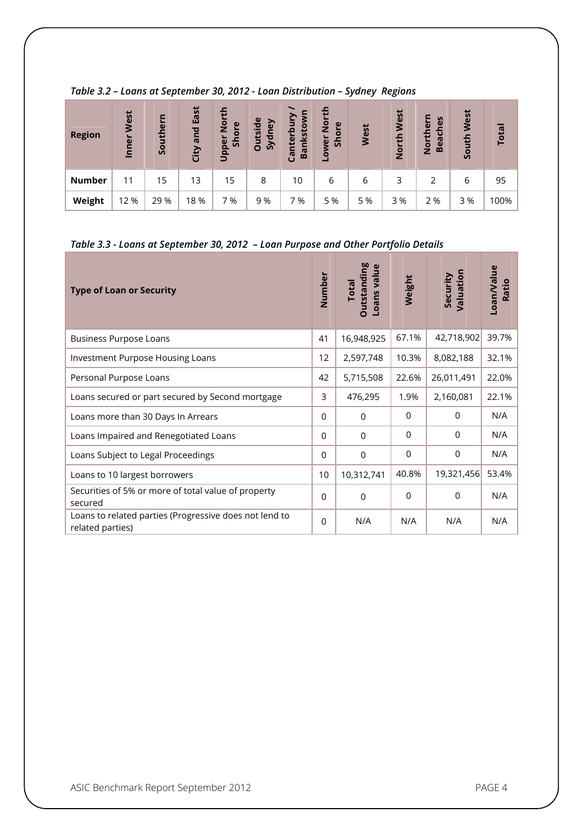| <b>Region</b> | West<br>Inner | Southern | East<br>and<br>City | 듭<br>$\frac{5}{2}$<br>$\mathbf{v}$<br>$\overline{\phantom{a}}$<br>$\overline{O}$<br>Upper<br>Š۹ | <b>Outside</b><br>Sydney | ξ<br>š<br><b>inkstoy</b><br>Canterb<br>Ba | 운<br>$\bar{8}$<br>$\omega$<br>Shor<br>Lower | West | West<br>든<br>ō<br>$\mathbf{z}$ | ern<br>S<br>Le<br>North<br><b>Beac</b> | West<br>South | <b>Total</b> |
|---------------|---------------|----------|---------------------|-------------------------------------------------------------------------------------------------|--------------------------|-------------------------------------------|---------------------------------------------|------|--------------------------------|----------------------------------------|---------------|--------------|
| <b>Number</b> | 11            | 15       | 13                  | 15                                                                                              | 8                        | 10                                        | 6                                           | 6    | 3                              | $\mathcal{D}$                          | 6             | 95           |
| Weight        | 12 %          | 29 %     | 18 %                | 7 %                                                                                             | 9 %                      | %                                         | 5 %                                         | 5 %  | 3 %                            | 2 %                                    | 3%            | 100%         |

#### *Table 3.2 – Loans at September 30, 2012 - Loan Distribution – Sydney Regions*

## *Table 3.3 - Loans at September 30, 2012 – Loan Purpose and Other Portfolio Details*

| <b>Type of Loan or Security</b>                                            | Number   | <b>Dutstanding</b><br>Loans value<br><b>Total</b> | Weight      | Valuation<br>Security | Loan/Value<br>Ratio |
|----------------------------------------------------------------------------|----------|---------------------------------------------------|-------------|-----------------------|---------------------|
| <b>Business Purpose Loans</b>                                              | 41       | 16,948,925                                        | 67.1%       | 42,718,902            | 39.7%               |
| Investment Purpose Housing Loans                                           | 12       | 2,597,748                                         | 10.3%       | 8,082,188             | 32.1%               |
| Personal Purpose Loans                                                     | 42       | 5,715,508                                         | 22.6%       | 26,011,491            | 22.0%               |
| Loans secured or part secured by Second mortgage                           | 3        | 476,295                                           | 1.9%        | 2,160,081             | 22.1%               |
| Loans more than 30 Days In Arrears                                         | $\Omega$ | $\Omega$                                          | $\Omega$    | $\Omega$              | N/A                 |
| Loans Impaired and Renegotiated Loans                                      | $\Omega$ | $\Omega$                                          | $\Omega$    | $\Omega$              | N/A                 |
| Loans Subject to Legal Proceedings                                         | $\Omega$ | $\Omega$                                          | $\mathbf 0$ | $\mathbf 0$           | N/A                 |
| Loans to 10 largest borrowers                                              | 10       | 10,312,741                                        | 40.8%       | 19,321,456            | 53.4%               |
| Securities of 5% or more of total value of property<br>secured             | $\Omega$ | $\mathbf 0$                                       | $\Omega$    | $\Omega$              | N/A                 |
| Loans to related parties (Progressive does not lend to<br>related parties) | $\Omega$ | N/A                                               | N/A         | N/A                   | N/A                 |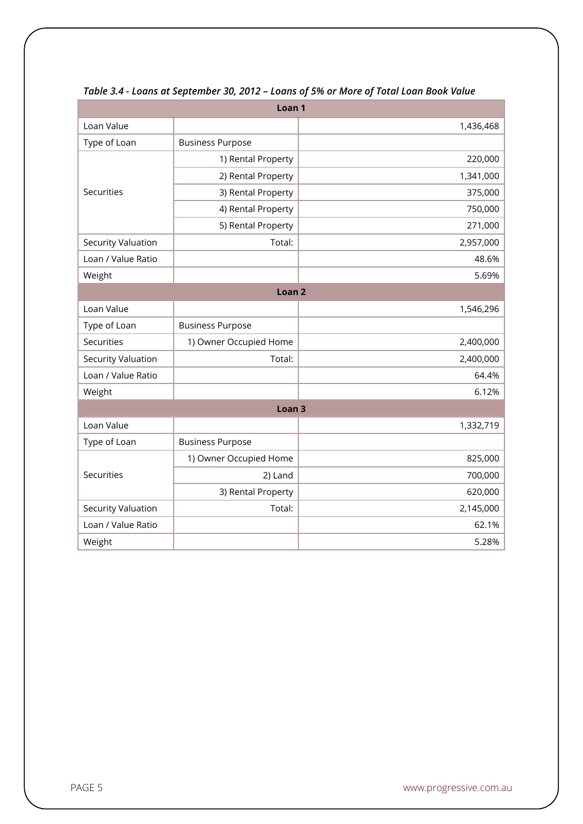| Loan <sub>1</sub>  |                         |           |  |  |  |  |
|--------------------|-------------------------|-----------|--|--|--|--|
| Loan Value         |                         | 1,436,468 |  |  |  |  |
| Type of Loan       | <b>Business Purpose</b> |           |  |  |  |  |
|                    | 1) Rental Property      | 220,000   |  |  |  |  |
|                    | 2) Rental Property      | 1,341,000 |  |  |  |  |
| Securities         | 3) Rental Property      | 375,000   |  |  |  |  |
|                    | 4) Rental Property      | 750,000   |  |  |  |  |
|                    | 5) Rental Property      | 271,000   |  |  |  |  |
| Security Valuation | Total:                  | 2,957,000 |  |  |  |  |
| Loan / Value Ratio |                         | 48.6%     |  |  |  |  |
| Weight             |                         | 5.69%     |  |  |  |  |
| Loan <sub>2</sub>  |                         |           |  |  |  |  |
| Loan Value         |                         | 1,546,296 |  |  |  |  |
| Type of Loan       | <b>Business Purpose</b> |           |  |  |  |  |
| Securities         | 1) Owner Occupied Home  | 2,400,000 |  |  |  |  |
| Security Valuation | Total:                  | 2,400,000 |  |  |  |  |
| Loan / Value Ratio |                         | 64.4%     |  |  |  |  |
| Weight             |                         | 6.12%     |  |  |  |  |
|                    | Loan <sub>3</sub>       |           |  |  |  |  |
| Loan Value         |                         | 1,332,719 |  |  |  |  |
| Type of Loan       | <b>Business Purpose</b> |           |  |  |  |  |
|                    | 1) Owner Occupied Home  | 825,000   |  |  |  |  |
| Securities         | 2) Land                 | 700,000   |  |  |  |  |
|                    | 3) Rental Property      | 620,000   |  |  |  |  |
| Security Valuation | Total:                  | 2,145,000 |  |  |  |  |
| Loan / Value Ratio |                         | 62.1%     |  |  |  |  |
| Weight             |                         | 5.28%     |  |  |  |  |

#### *Table 3.4 - Loans at September 30, 2012 – Loans of 5% or More of Total Loan Book Value*